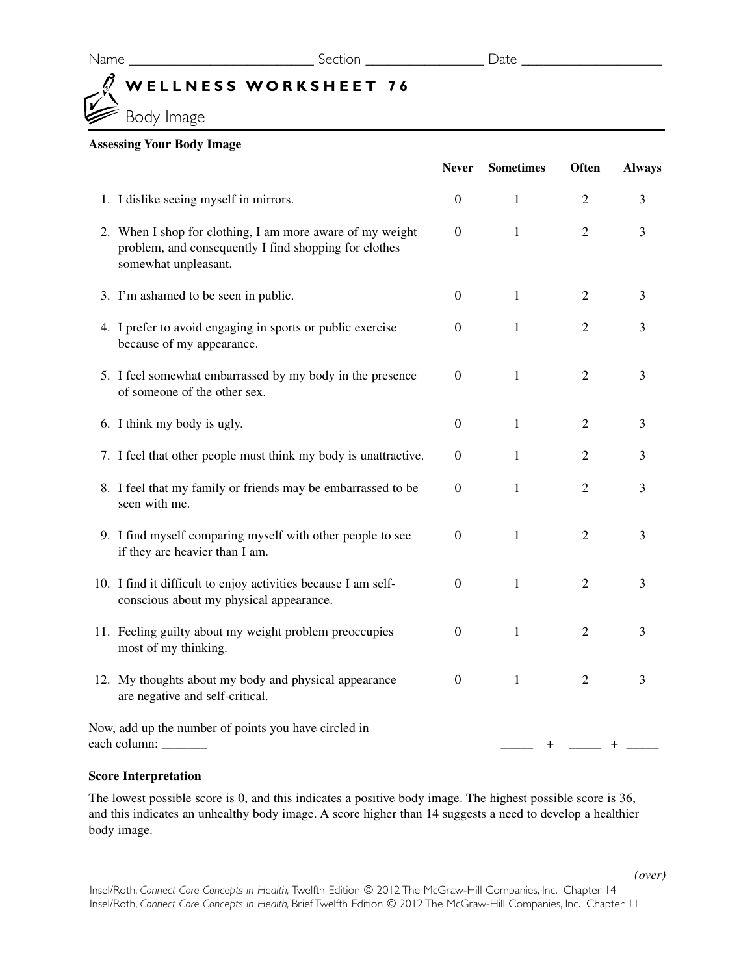## **WELLNESS WORKSHEET 76**

Body Image

## **Assessing Your Body Image**

|                                                                                                                                            | <b>Never</b>     | <b>Sometimes</b> | <b>Often</b>   | <b>Always</b> |
|--------------------------------------------------------------------------------------------------------------------------------------------|------------------|------------------|----------------|---------------|
| 1. I dislike seeing myself in mirrors.                                                                                                     | $\boldsymbol{0}$ | 1                | $\overline{2}$ | 3             |
| 2. When I shop for clothing, I am more aware of my weight<br>problem, and consequently I find shopping for clothes<br>somewhat unpleasant. | $\overline{0}$   | $\mathbf{1}$     | $\overline{2}$ | 3             |
| 3. I'm ashamed to be seen in public.                                                                                                       | $\theta$         | $\mathbf{1}$     | $\mathfrak{2}$ | 3             |
| 4. I prefer to avoid engaging in sports or public exercise<br>because of my appearance.                                                    | $\overline{0}$   | $\mathbf{1}$     | $\overline{2}$ | 3             |
| 5. I feel somewhat embarrassed by my body in the presence<br>of someone of the other sex.                                                  | $\overline{0}$   | 1                | $\overline{2}$ | 3             |
| 6. I think my body is ugly.                                                                                                                | $\overline{0}$   | 1                | $\overline{2}$ | 3             |
| 7. I feel that other people must think my body is unattractive.                                                                            | $\boldsymbol{0}$ | $\mathbf{1}$     | $\overline{2}$ | 3             |
| 8. I feel that my family or friends may be embarrassed to be<br>seen with me.                                                              | $\overline{0}$   | $\mathbf{1}$     | $\overline{2}$ | 3             |
| 9. I find myself comparing myself with other people to see<br>if they are heavier than I am.                                               | $\overline{0}$   | $\mathbf{1}$     | $\overline{2}$ | 3             |
| 10. I find it difficult to enjoy activities because I am self-<br>conscious about my physical appearance.                                  | $\overline{0}$   | 1                | $\overline{2}$ | 3             |
| 11. Feeling guilty about my weight problem preoccupies<br>most of my thinking.                                                             | $\overline{0}$   | 1                | $\overline{2}$ | 3             |
| 12. My thoughts about my body and physical appearance<br>are negative and self-critical.                                                   | $\mathbf{0}$     | 1                | $\overline{2}$ | 3             |
| Now, add up the number of points you have circled in<br>each column: ________                                                              |                  | $\ddot{}$        |                | $\pm$         |

## **Score Interpretation**

The lowest possible score is 0, and this indicates a positive body image. The highest possible score is 36, and this indicates an unhealthy body image. A score higher than 14 suggests a need to develop a healthier body image.

Insel/Roth, *Connect Core Concepts in Health,* Twelfth Edition © 2012 The McGraw-Hill Companies, Inc. Chapter 14 Insel/Roth, *Connect Core Concepts in Health,* Brief Twelfth Edition © 2012 The McGraw-Hill Companies, Inc. Chapter 11